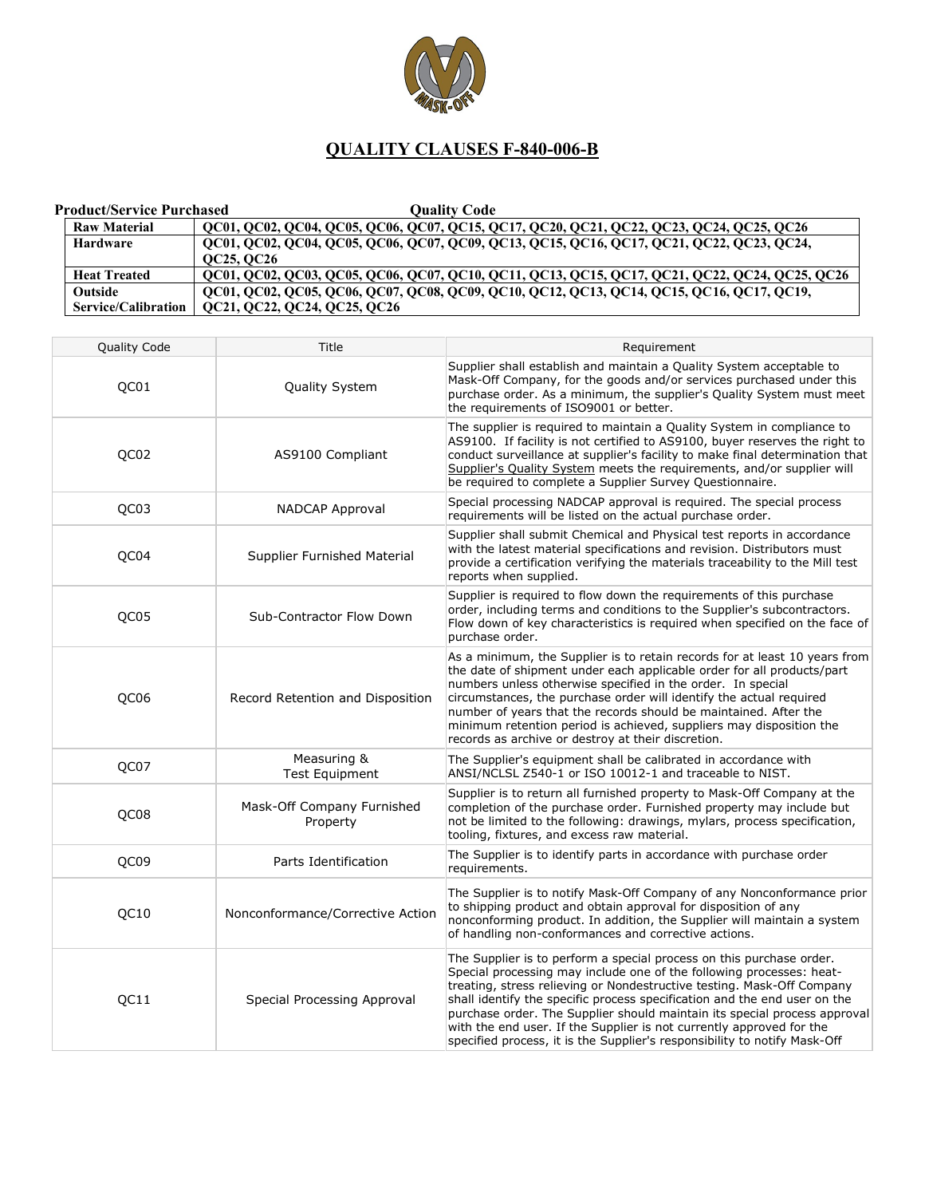

## **QUALITY CLAUSES F-840-006-B**

| Product/Service Purchased  | Ouality Code                                                                                   |
|----------------------------|------------------------------------------------------------------------------------------------|
| <b>Raw Material</b>        | QC01, QC02, QC04, QC05, QC06, QC07, QC15, QC17, QC20, QC21, QC22, QC23, QC24, QC25, QC26       |
| Hardware                   | OC01, OC02, OC04, OC05, OC06, OC07, OC09, OC13, OC15, OC16, OC17, OC21, OC22, OC23, OC24,      |
|                            | <b>OC25, OC26</b>                                                                              |
| <b>Heat Treated</b>        | QC01, QC02, QC03, QC05, QC06, QC07, QC10, QC11, QC13, QC15, QC17, QC21, QC22, QC24, QC25, QC26 |
| <b>Outside</b>             | QC01, QC02, QC05, QC06, QC07, QC08, QC09, QC10, QC12, QC13, QC14, QC15, QC16, QC17, QC19,      |
| <b>Service/Calibration</b> | QC21, QC22, QC24, QC25, QC26                                                                   |

| Quality Code     | Title                                  | Requirement                                                                                                                                                                                                                                                                                                                                                                                                                                                                                                                           |
|------------------|----------------------------------------|---------------------------------------------------------------------------------------------------------------------------------------------------------------------------------------------------------------------------------------------------------------------------------------------------------------------------------------------------------------------------------------------------------------------------------------------------------------------------------------------------------------------------------------|
| QC01             | Quality System                         | Supplier shall establish and maintain a Quality System acceptable to<br>Mask-Off Company, for the goods and/or services purchased under this<br>purchase order. As a minimum, the supplier's Quality System must meet<br>the requirements of ISO9001 or better.                                                                                                                                                                                                                                                                       |
| QC02             | AS9100 Compliant                       | The supplier is required to maintain a Quality System in compliance to<br>AS9100. If facility is not certified to AS9100, buyer reserves the right to<br>conduct surveillance at supplier's facility to make final determination that<br>Supplier's Quality System meets the requirements, and/or supplier will<br>be required to complete a Supplier Survey Questionnaire.                                                                                                                                                           |
| QC03             | NADCAP Approval                        | Special processing NADCAP approval is required. The special process<br>requirements will be listed on the actual purchase order.                                                                                                                                                                                                                                                                                                                                                                                                      |
| QC04             | Supplier Furnished Material            | Supplier shall submit Chemical and Physical test reports in accordance<br>with the latest material specifications and revision. Distributors must<br>provide a certification verifying the materials traceability to the Mill test<br>reports when supplied.                                                                                                                                                                                                                                                                          |
| QC <sub>05</sub> | Sub-Contractor Flow Down               | Supplier is required to flow down the requirements of this purchase<br>order, including terms and conditions to the Supplier's subcontractors.<br>Flow down of key characteristics is required when specified on the face of<br>purchase order.                                                                                                                                                                                                                                                                                       |
| QC06             | Record Retention and Disposition       | As a minimum, the Supplier is to retain records for at least 10 years from<br>the date of shipment under each applicable order for all products/part<br>numbers unless otherwise specified in the order. In special<br>circumstances, the purchase order will identify the actual required<br>number of years that the records should be maintained. After the<br>minimum retention period is achieved, suppliers may disposition the<br>records as archive or destroy at their discretion.                                           |
| QC07             | Measuring &<br><b>Test Equipment</b>   | The Supplier's equipment shall be calibrated in accordance with<br>ANSI/NCLSL Z540-1 or ISO 10012-1 and traceable to NIST.                                                                                                                                                                                                                                                                                                                                                                                                            |
| QC08             | Mask-Off Company Furnished<br>Property | Supplier is to return all furnished property to Mask-Off Company at the<br>completion of the purchase order. Furnished property may include but<br>not be limited to the following: drawings, mylars, process specification,<br>tooling, fixtures, and excess raw material.                                                                                                                                                                                                                                                           |
| QC09             | Parts Identification                   | The Supplier is to identify parts in accordance with purchase order<br>requirements.                                                                                                                                                                                                                                                                                                                                                                                                                                                  |
| QC10             | Nonconformance/Corrective Action       | The Supplier is to notify Mask-Off Company of any Nonconformance prior<br>to shipping product and obtain approval for disposition of any<br>nonconforming product. In addition, the Supplier will maintain a system<br>of handling non-conformances and corrective actions.                                                                                                                                                                                                                                                           |
| QC11             | Special Processing Approval            | The Supplier is to perform a special process on this purchase order.<br>Special processing may include one of the following processes: heat-<br>treating, stress relieving or Nondestructive testing. Mask-Off Company<br>shall identify the specific process specification and the end user on the<br>purchase order. The Supplier should maintain its special process approval<br>with the end user. If the Supplier is not currently approved for the<br>specified process, it is the Supplier's responsibility to notify Mask-Off |